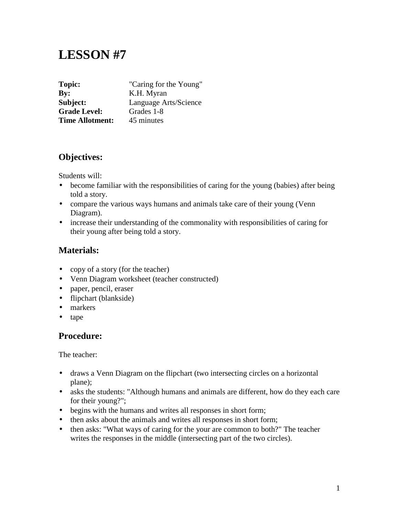# **LESSON #7**

| Topic:                 | "Caring for the Young" |
|------------------------|------------------------|
| $\mathbf{By:}$         | K.H. Myran             |
| Subject:               | Language Arts/Science  |
| <b>Grade Level:</b>    | Grades 1-8             |
| <b>Time Allotment:</b> | 45 minutes             |

#### **Objectives:**

Students will:

- become familiar with the responsibilities of caring for the young (babies) after being told a story.
- compare the various ways humans and animals take care of their young (Venn Diagram).
- increase their understanding of the commonality with responsibilities of caring for their young after being told a story.

# **Materials:**

- copy of a story (for the teacher)
- Venn Diagram worksheet (teacher constructed)
- paper, pencil, eraser
- flipchart (blankside)
- markers
- tape

# **Procedure:**

The teacher:

- draws a Venn Diagram on the flipchart (two intersecting circles on a horizontal plane);
- asks the students: "Although humans and animals are different, how do they each care for their young?";
- begins with the humans and writes all responses in short form;
- then asks about the animals and writes all responses in short form;
- then asks: "What ways of caring for the your are common to both?" The teacher writes the responses in the middle (intersecting part of the two circles).